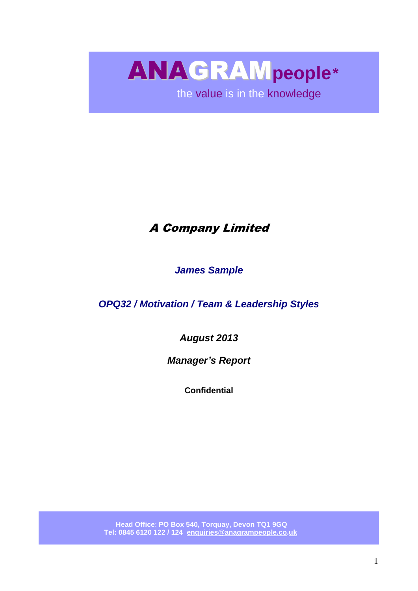ANAGRAM**people**\*

the value is in the knowledge

# A Company Limited

*James Sample*

*OPQ32 / Motivation / Team & Leadership Styles*

*August 2013*

*Manager's Report*

**Confidential**

 **Head Office**: **PO Box 540, Torquay, Devon TQ1 9GQ Tel: 0845 6120 122 / 124 [enquiries@anagrampeople.co.](mailto:enquiries@anagrampeople.co)uk**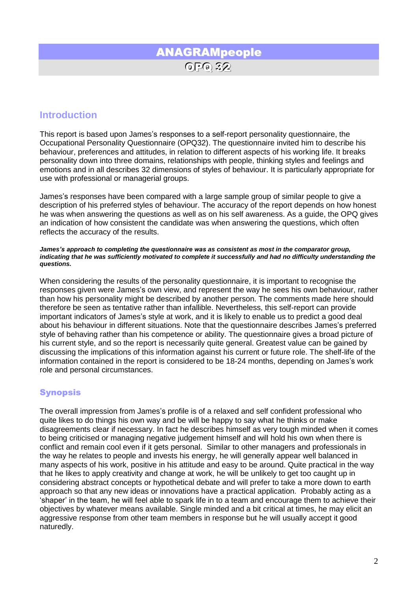## ANAGRAMpeople OPQ 32

### **Introduction**

This report is based upon James's responses to a self-report personality questionnaire, the Occupational Personality Questionnaire (OPQ32). The questionnaire invited him to describe his behaviour, preferences and attitudes, in relation to different aspects of his working life. It breaks personality down into three domains, relationships with people, thinking styles and feelings and emotions and in all describes 32 dimensions of styles of behaviour. It is particularly appropriate for use with professional or managerial groups.

James's responses have been compared with a large sample group of similar people to give a description of his preferred styles of behaviour. The accuracy of the report depends on how honest he was when answering the questions as well as on his self awareness. As a guide, the OPQ gives an indication of how consistent the candidate was when answering the questions, which often reflects the accuracy of the results.

*James's approach to completing the questionnaire was as consistent as most in the comparator group, indicating that he was sufficiently motivated to complete it successfully and had no difficulty understanding the questions.*

When considering the results of the personality questionnaire, it is important to recognise the responses given were James's own view, and represent the way he sees his own behaviour, rather than how his personality might be described by another person. The comments made here should therefore be seen as tentative rather than infallible. Nevertheless, this self-report can provide important indicators of James's style at work, and it is likely to enable us to predict a good deal about his behaviour in different situations. Note that the questionnaire describes James's preferred style of behaving rather than his competence or ability. The questionnaire gives a broad picture of his current style, and so the report is necessarily quite general. Greatest value can be gained by discussing the implications of this information against his current or future role. The shelf-life of the information contained in the report is considered to be 18-24 months, depending on James's work role and personal circumstances.

### Synopsis

The overall impression from James's profile is of a relaxed and self confident professional who quite likes to do things his own way and be will be happy to say what he thinks or make disagreements clear if necessary. In fact he describes himself as very tough minded when it comes to being criticised or managing negative judgement himself and will hold his own when there is conflict and remain cool even if it gets personal. Similar to other managers and professionals in the way he relates to people and invests his energy, he will generally appear well balanced in many aspects of his work, positive in his attitude and easy to be around. Quite practical in the way that he likes to apply creativity and change at work, he will be unlikely to get too caught up in considering abstract concepts or hypothetical debate and will prefer to take a more down to earth approach so that any new ideas or innovations have a practical application. Probably acting as a 'shaper' in the team, he will feel able to spark life in to a team and encourage them to achieve their objectives by whatever means available. Single minded and a bit critical at times, he may elicit an aggressive response from other team members in response but he will usually accept it good naturedly.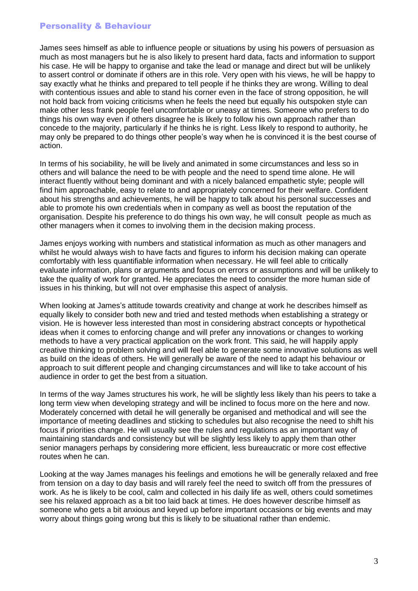### Personality & Behaviour

James sees himself as able to influence people or situations by using his powers of persuasion as much as most managers but he is also likely to present hard data, facts and information to support his case. He will be happy to organise and take the lead or manage and direct but will be unlikely to assert control or dominate if others are in this role. Very open with his views, he will be happy to say exactly what he thinks and prepared to tell people if he thinks they are wrong. Willing to deal with contentious issues and able to stand his corner even in the face of strong opposition, he will not hold back from voicing criticisms when he feels the need but equally his outspoken style can make other less frank people feel uncomfortable or uneasy at times. Someone who prefers to do things his own way even if others disagree he is likely to follow his own approach rather than concede to the majority, particularly if he thinks he is right. Less likely to respond to authority, he may only be prepared to do things other people's way when he is convinced it is the best course of action.

In terms of his sociability, he will be lively and animated in some circumstances and less so in others and will balance the need to be with people and the need to spend time alone. He will interact fluently without being dominant and with a nicely balanced empathetic style; people will find him approachable, easy to relate to and appropriately concerned for their welfare. Confident about his strengths and achievements, he will be happy to talk about his personal successes and able to promote his own credentials when in company as well as boost the reputation of the organisation. Despite his preference to do things his own way, he will consult people as much as other managers when it comes to involving them in the decision making process.

James enjoys working with numbers and statistical information as much as other managers and whilst he would always wish to have facts and figures to inform his decision making can operate comfortably with less quantifiable information when necessary. He will feel able to critically evaluate information, plans or arguments and focus on errors or assumptions and will be unlikely to take the quality of work for granted. He appreciates the need to consider the more human side of issues in his thinking, but will not over emphasise this aspect of analysis.

When looking at James's attitude towards creativity and change at work he describes himself as equally likely to consider both new and tried and tested methods when establishing a strategy or vision. He is however less interested than most in considering abstract concepts or hypothetical ideas when it comes to enforcing change and will prefer any innovations or changes to working methods to have a very practical application on the work front. This said, he will happily apply creative thinking to problem solving and will feel able to generate some innovative solutions as well as build on the ideas of others. He will generally be aware of the need to adapt his behaviour or approach to suit different people and changing circumstances and will like to take account of his audience in order to get the best from a situation.

In terms of the way James structures his work, he will be slightly less likely than his peers to take a long term view when developing strategy and will be inclined to focus more on the here and now. Moderately concerned with detail he will generally be organised and methodical and will see the importance of meeting deadlines and sticking to schedules but also recognise the need to shift his focus if priorities change. He will usually see the rules and regulations as an important way of maintaining standards and consistency but will be slightly less likely to apply them than other senior managers perhaps by considering more efficient, less bureaucratic or more cost effective routes when he can.

Looking at the way James manages his feelings and emotions he will be generally relaxed and free from tension on a day to day basis and will rarely feel the need to switch off from the pressures of work. As he is likely to be cool, calm and collected in his daily life as well, others could sometimes see his relaxed approach as a bit too laid back at times. He does however describe himself as someone who gets a bit anxious and keyed up before important occasions or big events and may worry about things going wrong but this is likely to be situational rather than endemic.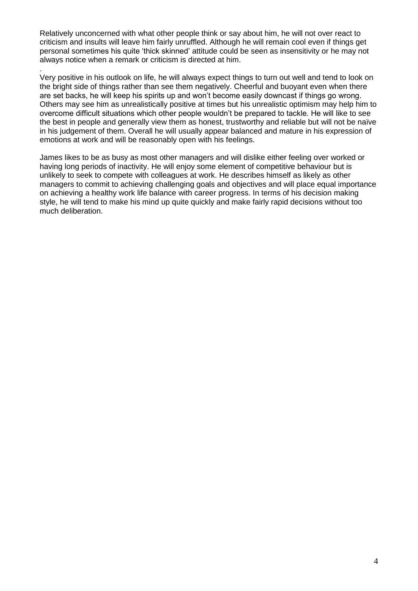Relatively unconcerned with what other people think or say about him, he will not over react to criticism and insults will leave him fairly unruffled. Although he will remain cool even if things get personal sometimes his quite 'thick skinned' attitude could be seen as insensitivity or he may not always notice when a remark or criticism is directed at him.

.

Very positive in his outlook on life, he will always expect things to turn out well and tend to look on the bright side of things rather than see them negatively. Cheerful and buoyant even when there are set backs, he will keep his spirits up and won't become easily downcast if things go wrong. Others may see him as unrealistically positive at times but his unrealistic optimism may help him to overcome difficult situations which other people wouldn't be prepared to tackle. He will like to see the best in people and generally view them as honest, trustworthy and reliable but will not be naïve in his judgement of them. Overall he will usually appear balanced and mature in his expression of emotions at work and will be reasonably open with his feelings.

James likes to be as busy as most other managers and will dislike either feeling over worked or having long periods of inactivity. He will enjoy some element of competitive behaviour but is unlikely to seek to compete with colleagues at work. He describes himself as likely as other managers to commit to achieving challenging goals and objectives and will place equal importance on achieving a healthy work life balance with career progress. In terms of his decision making style, he will tend to make his mind up quite quickly and make fairly rapid decisions without too much deliberation.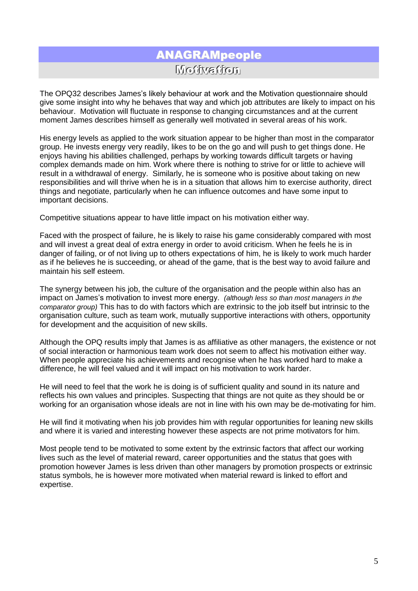## ANAGRAMpeople Motiivatiion

The OPQ32 describes James's likely behaviour at work and the Motivation questionnaire should give some insight into why he behaves that way and which job attributes are likely to impact on his behaviour. Motivation will fluctuate in response to changing circumstances and at the current moment James describes himself as generally well motivated in several areas of his work.

His energy levels as applied to the work situation appear to be higher than most in the comparator group. He invests energy very readily, likes to be on the go and will push to get things done. He enjoys having his abilities challenged, perhaps by working towards difficult targets or having complex demands made on him. Work where there is nothing to strive for or little to achieve will result in a withdrawal of energy. Similarly, he is someone who is positive about taking on new responsibilities and will thrive when he is in a situation that allows him to exercise authority, direct things and negotiate, particularly when he can influence outcomes and have some input to important decisions.

Competitive situations appear to have little impact on his motivation either way.

Faced with the prospect of failure, he is likely to raise his game considerably compared with most and will invest a great deal of extra energy in order to avoid criticism. When he feels he is in danger of failing, or of not living up to others expectations of him, he is likely to work much harder as if he believes he is succeeding, or ahead of the game, that is the best way to avoid failure and maintain his self esteem.

The synergy between his job, the culture of the organisation and the people within also has an impact on James's motivation to invest more energy. *(although less so than most managers in the comparator group)* This has to do with factors which are extrinsic to the job itself but intrinsic to the organisation culture, such as team work, mutually supportive interactions with others, opportunity for development and the acquisition of new skills.

Although the OPQ results imply that James is as affiliative as other managers, the existence or not of social interaction or harmonious team work does not seem to affect his motivation either way. When people appreciate his achievements and recognise when he has worked hard to make a difference, he will feel valued and it will impact on his motivation to work harder.

He will need to feel that the work he is doing is of sufficient quality and sound in its nature and reflects his own values and principles. Suspecting that things are not quite as they should be or working for an organisation whose ideals are not in line with his own may be de-motivating for him.

He will find it motivating when his job provides him with regular opportunities for leaning new skills and where it is varied and interesting however these aspects are not prime motivators for him.

Most people tend to be motivated to some extent by the extrinsic factors that affect our working lives such as the level of material reward, career opportunities and the status that goes with promotion however James is less driven than other managers by promotion prospects or extrinsic status symbols, he is however more motivated when material reward is linked to effort and expertise.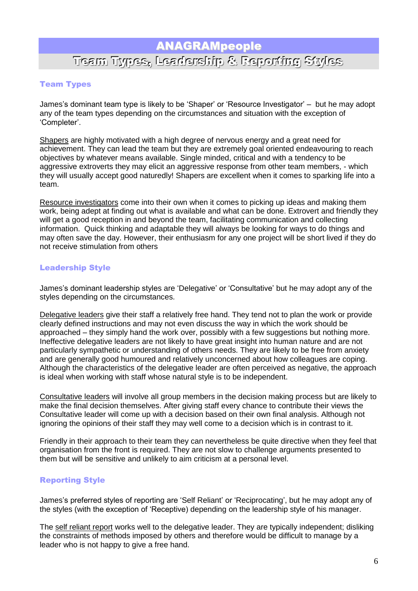### ANAGRAMpeople

# Team Types,, Leadershiip & Reportiing Stylles

### Team Types

James's dominant team type is likely to be 'Shaper' or 'Resource Investigator' – but he may adopt any of the team types depending on the circumstances and situation with the exception of 'Completer'.

Shapers are highly motivated with a high degree of nervous energy and a great need for achievement. They can lead the team but they are extremely goal oriented endeavouring to reach objectives by whatever means available. Single minded, critical and with a tendency to be aggressive extroverts they may elicit an aggressive response from other team members, - which they will usually accept good naturedly! Shapers are excellent when it comes to sparking life into a team.

Resource investigators come into their own when it comes to picking up ideas and making them work, being adept at finding out what is available and what can be done. Extrovert and friendly they will get a good reception in and beyond the team, facilitating communication and collecting information. Quick thinking and adaptable they will always be looking for ways to do things and may often save the day. However, their enthusiasm for any one project will be short lived if they do not receive stimulation from others

### Leadership Style

James's dominant leadership styles are 'Delegative' or 'Consultative' but he may adopt any of the styles depending on the circumstances.

Delegative leaders give their staff a relatively free hand. They tend not to plan the work or provide clearly defined instructions and may not even discuss the way in which the work should be approached – they simply hand the work over, possibly with a few suggestions but nothing more. Ineffective delegative leaders are not likely to have great insight into human nature and are not particularly sympathetic or understanding of others needs. They are likely to be free from anxiety and are generally good humoured and relatively unconcerned about how colleagues are coping. Although the characteristics of the delegative leader are often perceived as negative, the approach is ideal when working with staff whose natural style is to be independent.

Consultative leaders will involve all group members in the decision making process but are likely to make the final decision themselves. After giving staff every chance to contribute their views the Consultative leader will come up with a decision based on their own final analysis. Although not ignoring the opinions of their staff they may well come to a decision which is in contrast to it.

Friendly in their approach to their team they can nevertheless be quite directive when they feel that organisation from the front is required. They are not slow to challenge arguments presented to them but will be sensitive and unlikely to aim criticism at a personal level.

#### Reporting Style

James's preferred styles of reporting are 'Self Reliant' or 'Reciprocating', but he may adopt any of the styles (with the exception of 'Receptive) depending on the leadership style of his manager.

The self reliant report works well to the delegative leader. They are typically independent; disliking the constraints of methods imposed by others and therefore would be difficult to manage by a leader who is not happy to give a free hand.